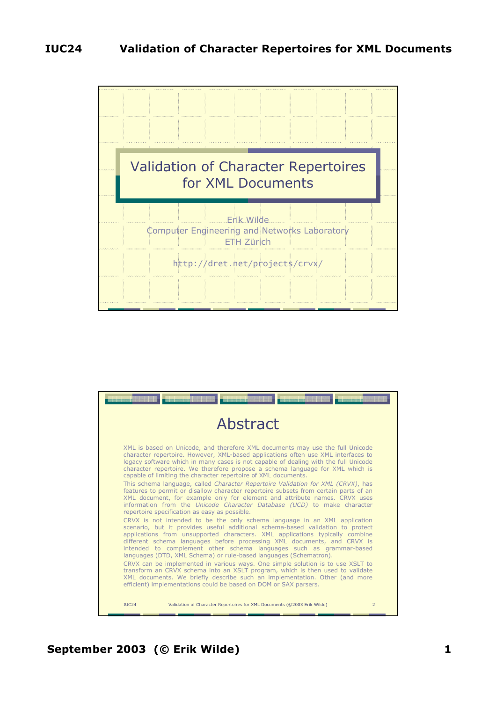

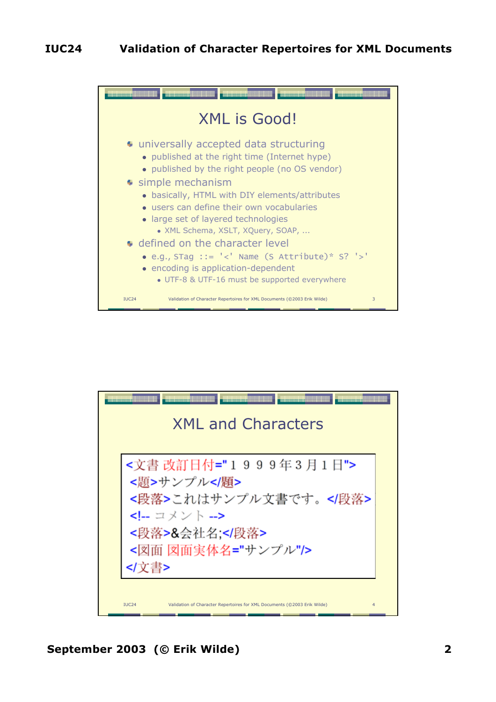



**September 2003 (© Erik Wilde) 2**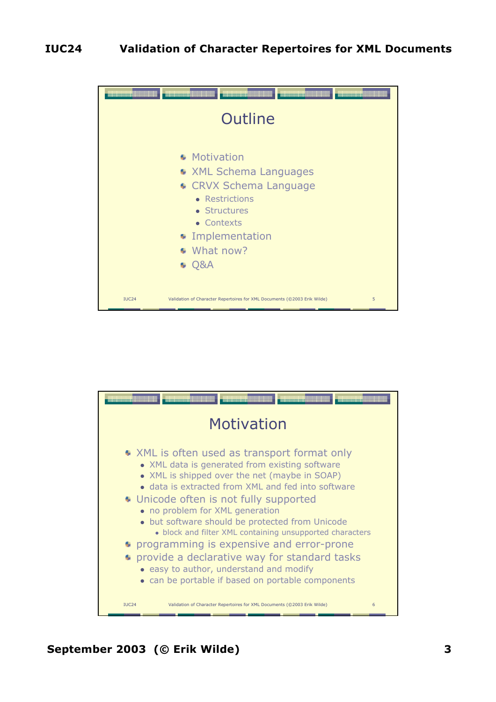

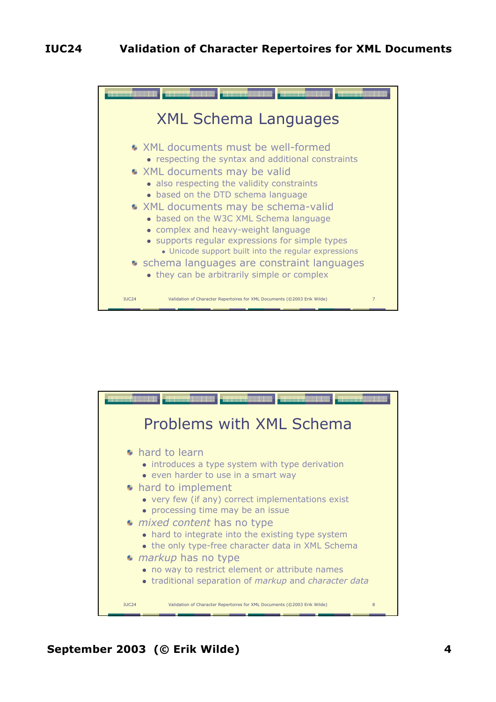

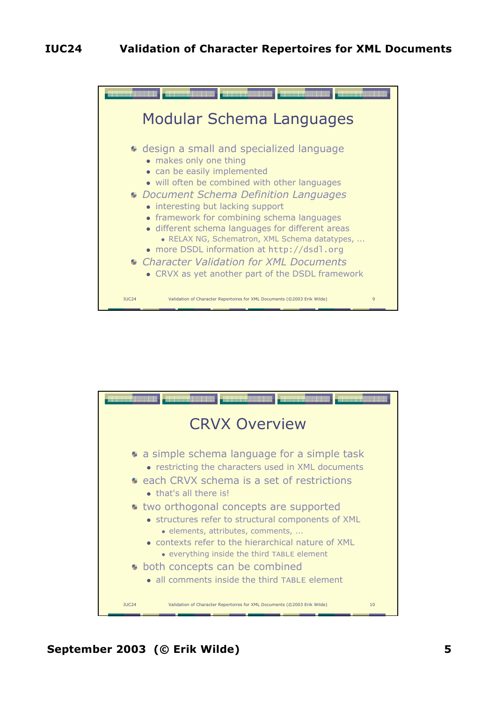

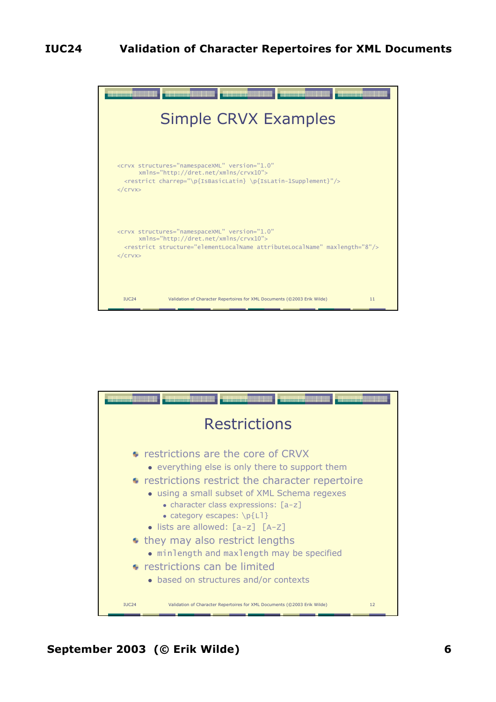## **IUC24 Validation of Character Repertoires for XML Documents**



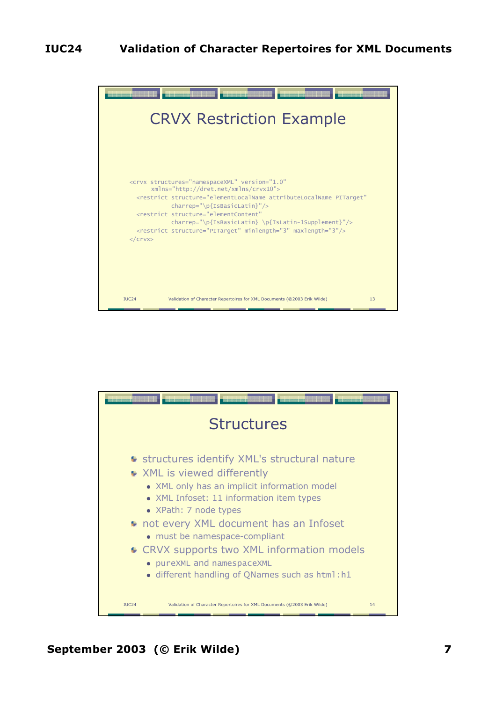

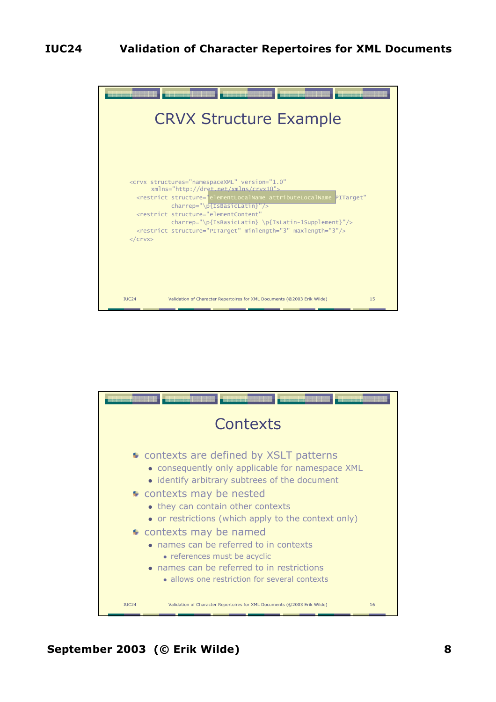

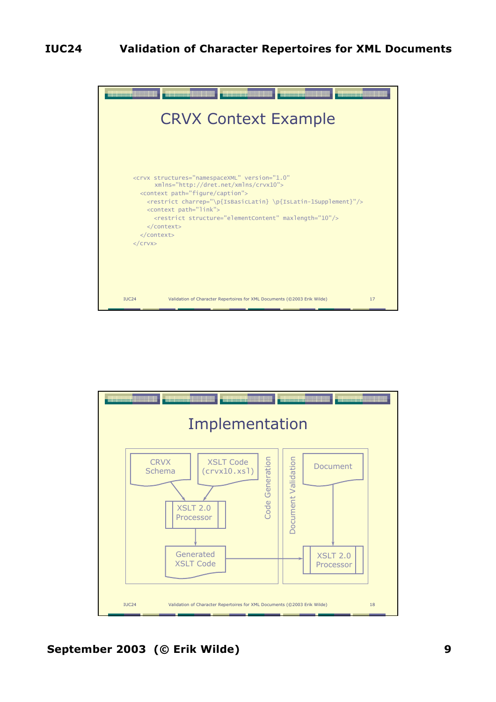